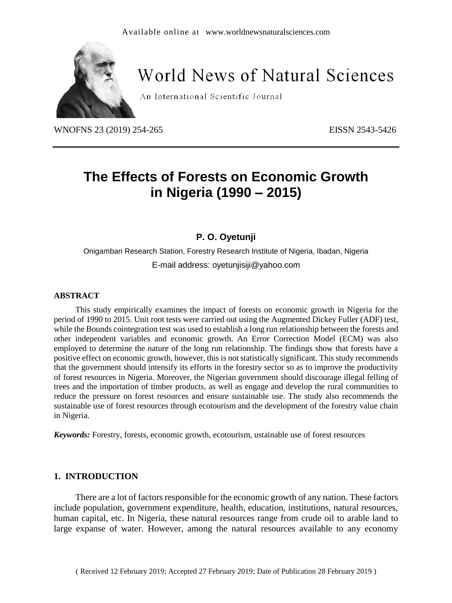

# **World News of Natural Sciences**

An International Scientific Journal

WNOFNS 23 (2019) 254-265 EISSN 2543-5426

# **The Effects of Forests on Economic Growth in Nigeria (1990 – 2015)**

## **P. O. Oyetunji**

Onigambari Research Station, Forestry Research Institute of Nigeria, Ibadan, Nigeria E-mail address: oyetunjisiji@yahoo.com

#### **ABSTRACT**

This study empirically examines the impact of forests on economic growth in Nigeria for the period of 1990 to 2015. Unit root tests were carried out using the Augmented Dickey Fuller (ADF) test, while the Bounds cointegration test was used to establish a long run relationship between the forests and other independent variables and economic growth. An Error Correction Model (ECM) was also employed to determine the nature of the long run relationship. The findings show that forests have a positive effect on economic growth, however, this is not statistically significant. This study recommends that the government should intensify its efforts in the forestry sector so as to improve the productivity of forest resources in Nigeria. Moreover, the Nigerian government should discourage illegal felling of trees and the importation of timber products, as well as engage and develop the rural communities to reduce the pressure on forest resources and ensure sustainable use. The study also recommends the sustainable use of forest resources through ecotourism and the development of the forestry value chain in Nigeria.

*Keywords:* Forestry, forests, economic growth, ecotourism, ustainable use of forest resources

#### **1. INTRODUCTION**

There are a lot of factors responsible for the economic growth of any nation. These factors include population, government expenditure, health, education, institutions, natural resources, human capital, etc. In Nigeria, these natural resources range from crude oil to arable land to large expanse of water. However, among the natural resources available to any economy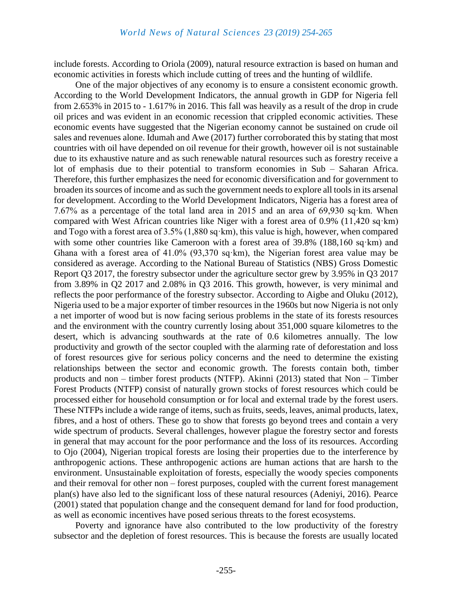include forests. According to Oriola (2009), natural resource extraction is based on human and economic activities in forests which include cutting of trees and the hunting of wildlife.

One of the major objectives of any economy is to ensure a consistent economic growth. According to the World Development Indicators, the annual growth in GDP for Nigeria fell from 2.653% in 2015 to - 1.617% in 2016. This fall was heavily as a result of the drop in crude oil prices and was evident in an economic recession that crippled economic activities. These economic events have suggested that the Nigerian economy cannot be sustained on crude oil sales and revenues alone. Idumah and Awe (2017) further corroborated this by stating that most countries with oil have depended on oil revenue for their growth, however oil is not sustainable due to its exhaustive nature and as such renewable natural resources such as forestry receive a lot of emphasis due to their potential to transform economies in Sub – Saharan Africa. Therefore, this further emphasizes the need for economic diversification and for government to broaden its sources of income and as such the government needs to explore all tools in its arsenal for development. According to the World Development Indicators, Nigeria has a forest area of 7.67% as a percentage of the total land area in 2015 and an area of 69,930 sq·km. When compared with West African countries like Niger with a forest area of 0.9% (11,420 sq·km) and Togo with a forest area of 3.5% (1,880 sq·km), this value is high, however, when compared with some other countries like Cameroon with a forest area of 39.8% (188,160 sq·km) and Ghana with a forest area of 41.0% (93,370 sq·km), the Nigerian forest area value may be considered as average. According to the National Bureau of Statistics (NBS) Gross Domestic Report Q3 2017, the forestry subsector under the agriculture sector grew by 3.95% in Q3 2017 from 3.89% in Q2 2017 and 2.08% in Q3 2016. This growth, however, is very minimal and reflects the poor performance of the forestry subsector. According to Aigbe and Oluku (2012), Nigeria used to be a major exporter of timber resources in the 1960s but now Nigeria is not only a net importer of wood but is now facing serious problems in the state of its forests resources and the environment with the country currently losing about 351,000 square kilometres to the desert, which is advancing southwards at the rate of 0.6 kilometres annually. The low productivity and growth of the sector coupled with the alarming rate of deforestation and loss of forest resources give for serious policy concerns and the need to determine the existing relationships between the sector and economic growth. The forests contain both, timber products and non – timber forest products (NTFP). Akinni (2013) stated that Non – Timber Forest Products (NTFP) consist of naturally grown stocks of forest resources which could be processed either for household consumption or for local and external trade by the forest users. These NTFPs include a wide range of items, such as fruits, seeds, leaves, animal products, latex, fibres, and a host of others. These go to show that forests go beyond trees and contain a very wide spectrum of products. Several challenges, however plague the forestry sector and forests in general that may account for the poor performance and the loss of its resources. According to Ojo (2004), Nigerian tropical forests are losing their properties due to the interference by anthropogenic actions. These anthropogenic actions are human actions that are harsh to the environment. Unsustainable exploitation of forests, especially the woody species components and their removal for other non – forest purposes, coupled with the current forest management plan(s) have also led to the significant loss of these natural resources (Adeniyi, 2016). Pearce (2001) stated that population change and the consequent demand for land for food production, as well as economic incentives have posed serious threats to the forest ecosystems.

Poverty and ignorance have also contributed to the low productivity of the forestry subsector and the depletion of forest resources. This is because the forests are usually located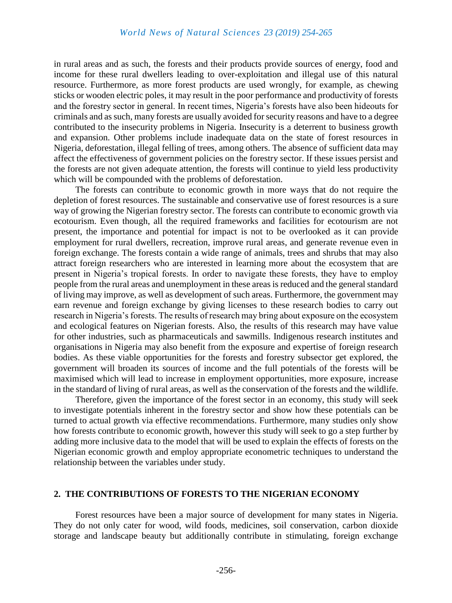in rural areas and as such, the forests and their products provide sources of energy, food and income for these rural dwellers leading to over-exploitation and illegal use of this natural resource. Furthermore, as more forest products are used wrongly, for example, as chewing sticks or wooden electric poles, it may result in the poor performance and productivity of forests and the forestry sector in general. In recent times, Nigeria's forests have also been hideouts for criminals and as such, many forests are usually avoided for security reasons and have to a degree contributed to the insecurity problems in Nigeria. Insecurity is a deterrent to business growth and expansion. Other problems include inadequate data on the state of forest resources in Nigeria, deforestation, illegal felling of trees, among others. The absence of sufficient data may affect the effectiveness of government policies on the forestry sector. If these issues persist and the forests are not given adequate attention, the forests will continue to yield less productivity which will be compounded with the problems of deforestation.

The forests can contribute to economic growth in more ways that do not require the depletion of forest resources. The sustainable and conservative use of forest resources is a sure way of growing the Nigerian forestry sector. The forests can contribute to economic growth via ecotourism. Even though, all the required frameworks and facilities for ecotourism are not present, the importance and potential for impact is not to be overlooked as it can provide employment for rural dwellers, recreation, improve rural areas, and generate revenue even in foreign exchange. The forests contain a wide range of animals, trees and shrubs that may also attract foreign researchers who are interested in learning more about the ecosystem that are present in Nigeria's tropical forests. In order to navigate these forests, they have to employ people from the rural areas and unemployment in these areas is reduced and the general standard of living may improve, as well as development of such areas. Furthermore, the government may earn revenue and foreign exchange by giving licenses to these research bodies to carry out research in Nigeria's forests. The results of research may bring about exposure on the ecosystem and ecological features on Nigerian forests. Also, the results of this research may have value for other industries, such as pharmaceuticals and sawmills. Indigenous research institutes and organisations in Nigeria may also benefit from the exposure and expertise of foreign research bodies. As these viable opportunities for the forests and forestry subsector get explored, the government will broaden its sources of income and the full potentials of the forests will be maximised which will lead to increase in employment opportunities, more exposure, increase in the standard of living of rural areas, as well as the conservation of the forests and the wildlife.

Therefore, given the importance of the forest sector in an economy, this study will seek to investigate potentials inherent in the forestry sector and show how these potentials can be turned to actual growth via effective recommendations. Furthermore, many studies only show how forests contribute to economic growth, however this study will seek to go a step further by adding more inclusive data to the model that will be used to explain the effects of forests on the Nigerian economic growth and employ appropriate econometric techniques to understand the relationship between the variables under study.

#### **2. THE CONTRIBUTIONS OF FORESTS TO THE NIGERIAN ECONOMY**

Forest resources have been a major source of development for many states in Nigeria. They do not only cater for wood, wild foods, medicines, soil conservation, carbon dioxide storage and landscape beauty but additionally contribute in stimulating, foreign exchange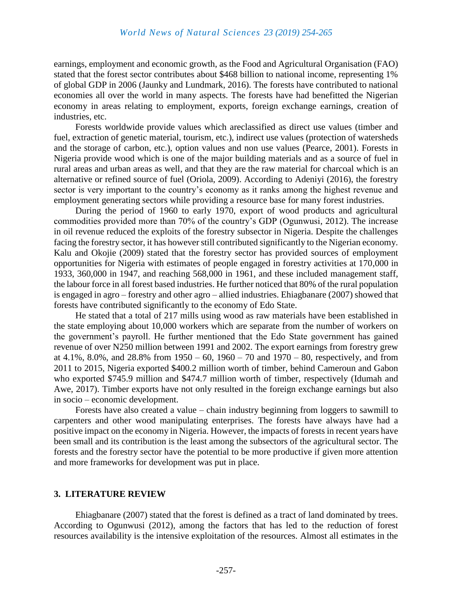earnings, employment and economic growth, as the Food and Agricultural Organisation (FAO) stated that the forest sector contributes about \$468 billion to national income, representing 1% of global GDP in 2006 (Jaunky and Lundmark, 2016). The forests have contributed to national economies all over the world in many aspects. The forests have had benefitted the Nigerian economy in areas relating to employment, exports, foreign exchange earnings, creation of industries, etc.

Forests worldwide provide values which areclassified as direct use values (timber and fuel, extraction of genetic material, tourism, etc.), indirect use values (protection of watersheds and the storage of carbon, etc.), option values and non use values (Pearce, 2001). Forests in Nigeria provide wood which is one of the major building materials and as a source of fuel in rural areas and urban areas as well, and that they are the raw material for charcoal which is an alternative or refined source of fuel (Oriola, 2009). According to Adeniyi (2016), the forestry sector is very important to the country's economy as it ranks among the highest revenue and employment generating sectors while providing a resource base for many forest industries.

During the period of 1960 to early 1970, export of wood products and agricultural commodities provided more than 70% of the country's GDP (Ogunwusi, 2012). The increase in oil revenue reduced the exploits of the forestry subsector in Nigeria. Despite the challenges facing the forestry sector, it has however still contributed significantly to the Nigerian economy. Kalu and Okojie (2009) stated that the forestry sector has provided sources of employment opportunities for Nigeria with estimates of people engaged in forestry activities at 170,000 in 1933, 360,000 in 1947, and reaching 568,000 in 1961, and these included management staff, the labour force in all forest based industries. He further noticed that 80% of the rural population is engaged in agro – forestry and other agro – allied industries. Ehiagbanare (2007) showed that forests have contributed significantly to the economy of Edo State.

He stated that a total of 217 mills using wood as raw materials have been established in the state employing about 10,000 workers which are separate from the number of workers on the government's payroll. He further mentioned that the Edo State government has gained revenue of over N250 million between 1991 and 2002. The export earnings from forestry grew at 4.1%, 8.0%, and 28.8% from  $1950 - 60$ ,  $1960 - 70$  and  $1970 - 80$ , respectively, and from 2011 to 2015, Nigeria exported \$400.2 million worth of timber, behind Cameroun and Gabon who exported \$745.9 million and \$474.7 million worth of timber, respectively (Idumah and Awe, 2017). Timber exports have not only resulted in the foreign exchange earnings but also in socio – economic development.

Forests have also created a value – chain industry beginning from loggers to sawmill to carpenters and other wood manipulating enterprises. The forests have always have had a positive impact on the economy in Nigeria. However, the impacts of forests in recent years have been small and its contribution is the least among the subsectors of the agricultural sector. The forests and the forestry sector have the potential to be more productive if given more attention and more frameworks for development was put in place.

#### **3. LITERATURE REVIEW**

Ehiagbanare (2007) stated that the forest is defined as a tract of land dominated by trees. According to Ogunwusi (2012), among the factors that has led to the reduction of forest resources availability is the intensive exploitation of the resources. Almost all estimates in the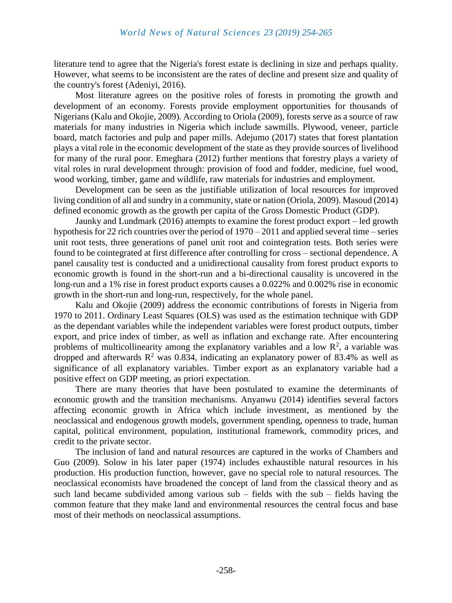literature tend to agree that the Nigeria's forest estate is declining in size and perhaps quality. However, what seems to be inconsistent are the rates of decline and present size and quality of the country's forest (Adeniyi, 2016).

Most literature agrees on the positive roles of forests in promoting the growth and development of an economy. Forests provide employment opportunities for thousands of Nigerians (Kalu and Okojie, 2009). According to Oriola (2009), forests serve as a source of raw materials for many industries in Nigeria which include sawmills. Plywood, veneer, particle board, match factories and pulp and paper mills. Adejumo (2017) states that forest plantation plays a vital role in the economic development of the state as they provide sources of livelihood for many of the rural poor. Emeghara (2012) further mentions that forestry plays a variety of vital roles in rural development through: provision of food and fodder, medicine, fuel wood, wood working, timber, game and wildlife, raw materials for industries and employment.

Development can be seen as the justifiable utilization of local resources for improved living condition of all and sundry in a community, state or nation (Oriola, 2009). Masoud (2014) defined economic growth as the growth per capita of the Gross Domestic Product (GDP).

Jaunky and Lundmark (2016) attempts to examine the forest product export – led growth hypothesis for 22 rich countries over the period of 1970 – 2011 and applied several time – series unit root tests, three generations of panel unit root and cointegration tests. Both series were found to be cointegrated at first difference after controlling for cross – sectional dependence. A panel causality test is conducted and a unidirectional causality from forest product exports to economic growth is found in the short-run and a bi-directional causality is uncovered in the long-run and a 1% rise in forest product exports causes a 0.022% and 0.002% rise in economic growth in the short-run and long-run, respectively, for the whole panel.

Kalu and Okojie (2009) address the economic contributions of forests in Nigeria from 1970 to 2011. Ordinary Least Squares (OLS) was used as the estimation technique with GDP as the dependant variables while the independent variables were forest product outputs, timber export, and price index of timber, as well as inflation and exchange rate. After encountering problems of multicollinearity among the explanatory variables and a low  $\mathbb{R}^2$ , a variable was dropped and afterwards  $\mathbb{R}^2$  was 0.834, indicating an explanatory power of 83.4% as well as significance of all explanatory variables. Timber export as an explanatory variable had a positive effect on GDP meeting, as priori expectation.

There are many theories that have been postulated to examine the determinants of economic growth and the transition mechanisms. Anyanwu (2014) identifies several factors affecting economic growth in Africa which include investment, as mentioned by the neoclassical and endogenous growth models, government spending, openness to trade, human capital, political environment, population, institutional framework, commodity prices, and credit to the private sector.

The inclusion of land and natural resources are captured in the works of Chambers and Guo (2009). Solow in his later paper (1974) includes exhaustible natural resources in his production. His production function, however, gave no special role to natural resources. The neoclassical economists have broadened the concept of land from the classical theory and as such land became subdivided among various sub – fields with the sub – fields having the common feature that they make land and environmental resources the central focus and base most of their methods on neoclassical assumptions.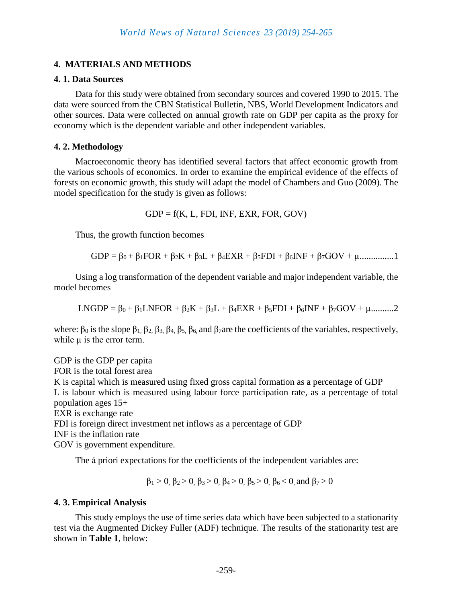# **4. MATERIALS AND METHODS**

#### **4. 1. Data Sources**

Data for this study were obtained from secondary sources and covered 1990 to 2015. The data were sourced from the CBN Statistical Bulletin, NBS, World Development Indicators and other sources. Data were collected on annual growth rate on GDP per capita as the proxy for economy which is the dependent variable and other independent variables.

#### **4. 2. Methodology**

Macroeconomic theory has identified several factors that affect economic growth from the various schools of economics. In order to examine the empirical evidence of the effects of forests on economic growth, this study will adapt the model of Chambers and Guo (2009). The model specification for the study is given as follows:

 $GDP = f(K, L, FDI, INF, EXR, FOR, GOV)$ 

Thus, the growth function becomes

$$
GDP = \beta_0 + \beta_1 FOR + \beta_2 K + \beta_3 L + \beta_4 EXR + \beta_5 FDI + \beta_6 INF + \beta_7 GOV + \mu
$$
............1

Using a log transformation of the dependent variable and major independent variable, the model becomes

LNGDP =  $\beta_0 + \beta_1 L$ NFOR +  $\beta_2 K + \beta_3 L + \beta_4 E X R + \beta_5 FDI + \beta_6 I N F + \beta_7 GOV + \mu$ ...........2

where:  $\beta_0$  is the slope  $\beta_1$ ,  $\beta_2$ ,  $\beta_3$ ,  $\beta_4$ ,  $\beta_5$ ,  $\beta_6$ , and  $\beta_7$ are the coefficients of the variables, respectively, while  $\mu$  is the error term.

GDP is the GDP per capita FOR is the total forest area K is capital which is measured using fixed gross capital formation as a percentage of GDP L is labour which is measured using labour force participation rate, as a percentage of total population ages 15+ EXR is exchange rate FDI is foreign direct investment net inflows as a percentage of GDP INF is the inflation rate GOV is government expenditure.

The á priori expectations for the coefficients of the independent variables are:

 $β<sub>1</sub> > 0, β<sub>2</sub> > 0, β<sub>3</sub> > 0, β<sub>4</sub> > 0, β<sub>5</sub> > 0, β<sub>6</sub> < 0,$  and  $β<sub>7</sub> > 0$ 

#### **4. 3. Empirical Analysis**

This study employs the use of time series data which have been subjected to a stationarity test via the Augmented Dickey Fuller (ADF) technique. The results of the stationarity test are shown in **Table 1**, below: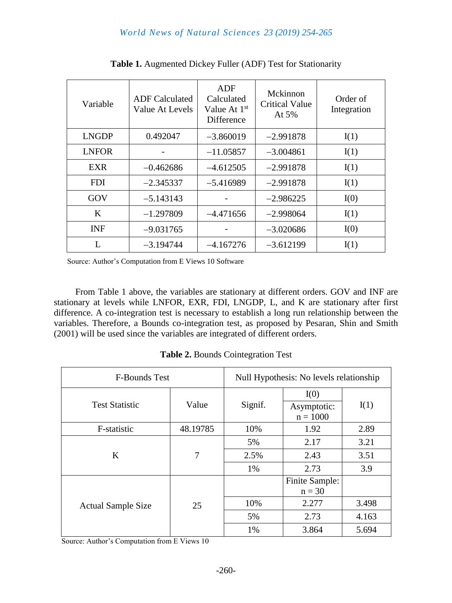| Variable     | <b>ADF</b> Calculated<br>Value At Levels | ADF<br>Calculated<br>Value At 1 <sup>st</sup><br>Difference | Mckinnon<br><b>Critical Value</b><br>At $5%$ | Order of<br>Integration |
|--------------|------------------------------------------|-------------------------------------------------------------|----------------------------------------------|-------------------------|
| <b>LNGDP</b> | 0.492047                                 | $-3.860019$                                                 | $-2.991878$                                  | I(1)                    |
| <b>LNFOR</b> |                                          | $-11.05857$                                                 | $-3.004861$                                  | I(1)                    |
| <b>EXR</b>   | $-0.462686$                              | $-4.612505$                                                 | $-2.991878$                                  | I(1)                    |
| <b>FDI</b>   | $-2.345337$                              | $-5.416989$                                                 | $-2.991878$                                  | I(1)                    |
| GOV          | $-5.143143$                              |                                                             | $-2.986225$                                  | I(0)                    |
| K            | $-1.297809$                              | $-4.471656$                                                 | $-2.998064$                                  | I(1)                    |
| <b>INF</b>   | $-9.031765$                              |                                                             | $-3.020686$                                  | I(0)                    |
|              | $-3.194744$                              | $-4.167276$                                                 | $-3.612199$                                  | I(1)                    |

**Table 1.** Augmented Dickey Fuller (ADF) Test for Stationarity

Source: Author's Computation from E Views 10 Software

From Table 1 above, the variables are stationary at different orders. GOV and INF are stationary at levels while LNFOR, EXR, FDI, LNGDP, L, and K are stationary after first difference. A co-integration test is necessary to establish a long run relationship between the variables. Therefore, a Bounds co-integration test, as proposed by Pesaran, Shin and Smith (2001) will be used since the variables are integrated of different orders.

**Table 2.** Bounds Cointegration Test

| <b>F-Bounds Test</b>      |                | Null Hypothesis: No levels relationship |                                   |       |  |
|---------------------------|----------------|-----------------------------------------|-----------------------------------|-------|--|
| <b>Test Statistic</b>     | Value          | Signif.                                 | I(0)<br>Asymptotic:<br>$n = 1000$ | I(1)  |  |
| F-statistic               | 48.19785       | 10%                                     | 1.92                              | 2.89  |  |
|                           | $\overline{7}$ | 5%                                      | 2.17                              | 3.21  |  |
| K                         |                | 2.5%                                    | 2.43                              | 3.51  |  |
|                           |                | 1%                                      | 2.73                              | 3.9   |  |
|                           | 25             |                                         | Finite Sample:<br>$n = 30$        |       |  |
| <b>Actual Sample Size</b> |                | 10%                                     | 2.277                             | 3.498 |  |
|                           |                | 5%                                      | 2.73                              | 4.163 |  |
|                           |                | 1%                                      | 3.864                             | 5.694 |  |

Source: Author's Computation from E Views 10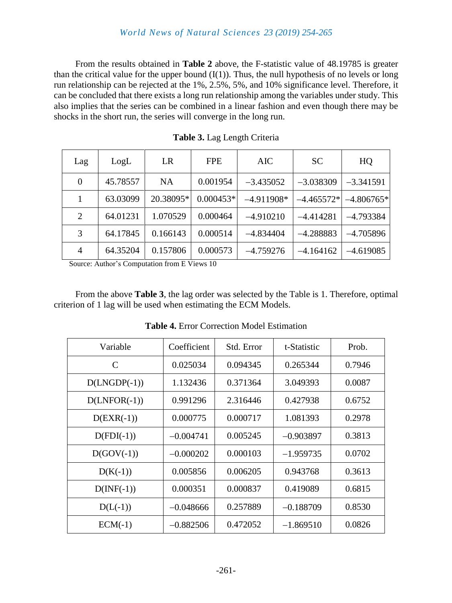## *World News of Natural Sciences 23 (2019) 254-265*

From the results obtained in **Table 2** above, the F-statistic value of 48.19785 is greater than the critical value for the upper bound  $(I(1))$ . Thus, the null hypothesis of no levels or long run relationship can be rejected at the 1%, 2.5%, 5%, and 10% significance level. Therefore, it can be concluded that there exists a long run relationship among the variables under study. This also implies that the series can be combined in a linear fashion and even though there may be shocks in the short run, the series will converge in the long run.

| Lag      | LogL     | LR        | <b>FPE</b>  | <b>AIC</b>   | <b>SC</b>    | HQ           |
|----------|----------|-----------|-------------|--------------|--------------|--------------|
| $\theta$ | 45.78557 | <b>NA</b> | 0.001954    | $-3.435052$  | $-3.038309$  | $-3.341591$  |
| 1        | 63.03099 | 20.38095* | $0.000453*$ | $-4.911908*$ | $-4.465572*$ | $-4.806765*$ |
| 2        | 64.01231 | 1.070529  | 0.000464    | $-4.910210$  | $-4.414281$  | $-4.793384$  |
| 3        | 64.17845 | 0.166143  | 0.000514    | $-4.834404$  | $-4.288883$  | $-4.705896$  |
| 4        | 64.35204 | 0.157806  | 0.000573    | $-4.759276$  | $-4.164162$  | $-4.619085$  |

**Table 3.** Lag Length Criteria

Source: Author's Computation from E Views 10

From the above **Table 3**, the lag order was selected by the Table is 1. Therefore, optimal criterion of 1 lag will be used when estimating the ECM Models.

| Variable            | Coefficient | Std. Error | t-Statistic | Prob.  |
|---------------------|-------------|------------|-------------|--------|
| C                   | 0.025034    | 0.094345   | 0.265344    | 0.7946 |
| $D(LNGDP(-1))$      | 1.132436    | 0.371364   | 3.049393    | 0.0087 |
| $D(LNFOR(-1))$      | 0.991296    | 2.316446   | 0.427938    | 0.6752 |
| $D(EXR(-1))$        | 0.000775    | 0.000717   | 1.081393    | 0.2978 |
| $D(FDI(-1))$        | $-0.004741$ | 0.005245   | $-0.903897$ | 0.3813 |
| $D(GOV(-1))$        | $-0.000202$ | 0.000103   | $-1.959735$ | 0.0702 |
| $D(K(-1))$          | 0.005856    | 0.006205   | 0.943768    | 0.3613 |
| $D(\text{INF}(-1))$ | 0.000351    | 0.000837   | 0.419089    | 0.6815 |
| $D(L(-1))$          | $-0.048666$ | 0.257889   | $-0.188709$ | 0.8530 |
| $ECM(-1)$           | $-0.882506$ | 0.472052   | $-1.869510$ | 0.0826 |

**Table 4.** Error Correction Model Estimation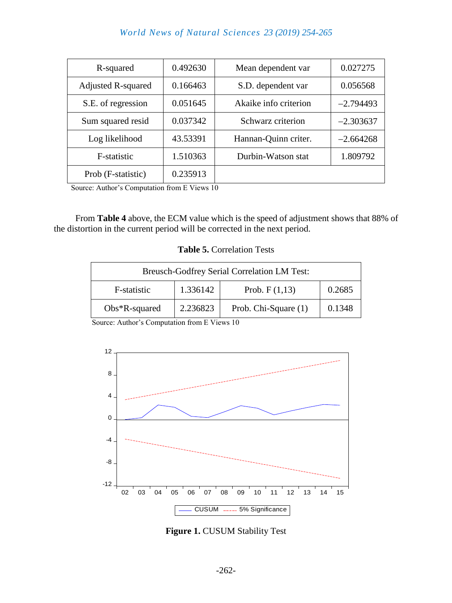# *World News of Natural Sciences 23 (2019) 254-265*

| R-squared                 | 0.492630 | Mean dependent var    | 0.027275    |
|---------------------------|----------|-----------------------|-------------|
| <b>Adjusted R-squared</b> | 0.166463 | S.D. dependent var    | 0.056568    |
| S.E. of regression        | 0.051645 | Akaike info criterion | $-2.794493$ |
| Sum squared resid         | 0.037342 | Schwarz criterion     | $-2.303637$ |
| Log likelihood            | 43.53391 | Hannan-Quinn criter.  | $-2.664268$ |
| F-statistic               | 1.510363 | Durbin-Watson stat    | 1.809792    |
| Prob (F-statistic)        | 0.235913 |                       |             |

Source: Author's Computation from E Views 10

From **Table 4** above, the ECM value which is the speed of adjustment shows that 88% of the distortion in the current period will be corrected in the next period.

#### **Table 5.** Correlation Tests

| <b>Breusch-Godfrey Serial Correlation LM Test:</b> |                 |                      |        |  |
|----------------------------------------------------|-----------------|----------------------|--------|--|
| F-statistic                                        | Prob. $F(1,13)$ | 0.2685               |        |  |
| $Obs*R$ -squared                                   | 2.236823        | Prob. Chi-Square (1) | 0.1348 |  |

Source: Author's Computation from E Views 10



**Figure 1.** CUSUM Stability Test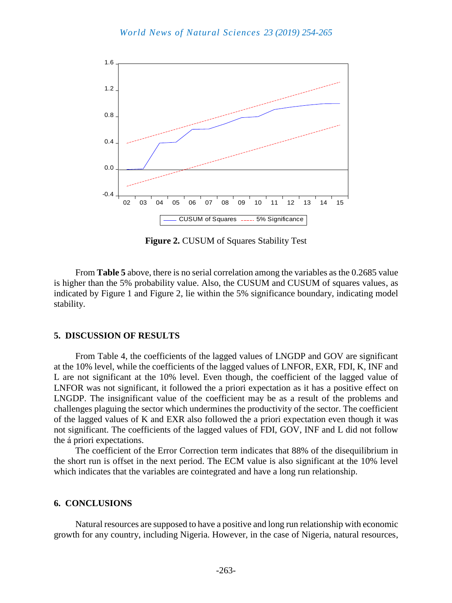

**Figure 2. CUSUM of Squares Stability Test** 

From **Table 5** above, there is no serial correlation among the variables as the 0.2685 value is higher than the 5% probability value. Also, the CUSUM and CUSUM of squares values, as indicated by Figure 1 and Figure 2, lie within the 5% significance boundary, indicating model stability.

#### **5. DISCUSSION OF RESULTS**

From Table 4, the coefficients of the lagged values of LNGDP and GOV are significant at the 10% level, while the coefficients of the lagged values of LNFOR, EXR, FDI, K, INF and L are not significant at the 10% level. Even though, the coefficient of the lagged value of LNFOR was not significant, it followed the a priori expectation as it has a positive effect on LNGDP. The insignificant value of the coefficient may be as a result of the problems and challenges plaguing the sector which undermines the productivity of the sector. The coefficient of the lagged values of K and EXR also followed the a priori expectation even though it was not significant. The coefficients of the lagged values of FDI, GOV, INF and L did not follow the á priori expectations.

The coefficient of the Error Correction term indicates that 88% of the disequilibrium in the short run is offset in the next period. The ECM value is also significant at the 10% level which indicates that the variables are cointegrated and have a long run relationship.

#### **6. CONCLUSIONS**

Natural resources are supposed to have a positive and long run relationship with economic growth for any country, including Nigeria. However, in the case of Nigeria, natural resources,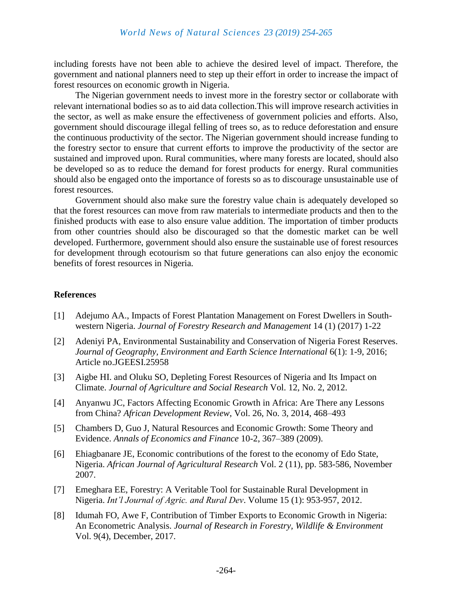including forests have not been able to achieve the desired level of impact. Therefore, the government and national planners need to step up their effort in order to increase the impact of forest resources on economic growth in Nigeria.

The Nigerian government needs to invest more in the forestry sector or collaborate with relevant international bodies so as to aid data collection.This will improve research activities in the sector, as well as make ensure the effectiveness of government policies and efforts. Also, government should discourage illegal felling of trees so, as to reduce deforestation and ensure the continuous productivity of the sector. The Nigerian government should increase funding to the forestry sector to ensure that current efforts to improve the productivity of the sector are sustained and improved upon. Rural communities, where many forests are located, should also be developed so as to reduce the demand for forest products for energy. Rural communities should also be engaged onto the importance of forests so as to discourage unsustainable use of forest resources.

Government should also make sure the forestry value chain is adequately developed so that the forest resources can move from raw materials to intermediate products and then to the finished products with ease to also ensure value addition. The importation of timber products from other countries should also be discouraged so that the domestic market can be well developed. Furthermore, government should also ensure the sustainable use of forest resources for development through ecotourism so that future generations can also enjoy the economic benefits of forest resources in Nigeria.

#### **References**

- [1] Adejumo AA., Impacts of Forest Plantation Management on Forest Dwellers in Southwestern Nigeria. *Journal of Forestry Research and Management* 14 (1) (2017) 1-22
- [2] Adeniyi PA, Environmental Sustainability and Conservation of Nigeria Forest Reserves. *Journal of Geography, Environment and Earth Science International* 6(1): 1-9, 2016; Article no.JGEESI.25958
- [3] Aigbe HI. and Oluku SO, Depleting Forest Resources of Nigeria and Its Impact on Climate. *Journal of Agriculture and Social Research* Vol. 12, No. 2, 2012.
- [4] Anyanwu JC, Factors Affecting Economic Growth in Africa: Are There any Lessons from China? *African Development Review*, Vol. 26, No. 3, 2014, 468–493
- [5] Chambers D, Guo J, Natural Resources and Economic Growth: Some Theory and Evidence. *Annals of Economics and Finance* 10-2, 367–389 (2009).
- [6] Ehiagbanare JE, Economic contributions of the forest to the economy of Edo State, Nigeria. *African Journal of Agricultural Research* Vol. 2 (11), pp. 583-586, November 2007.
- [7] Emeghara EE, Forestry: A Veritable Tool for Sustainable Rural Development in Nigeria. *Int'l Journal of Agric. and Rural Dev*. Volume 15 (1): 953-957, 2012.
- [8] Idumah FO, Awe F, Contribution of Timber Exports to Economic Growth in Nigeria: An Econometric Analysis. *Journal of Research in Forestry, Wildlife & Environment* Vol. 9(4), December, 2017.